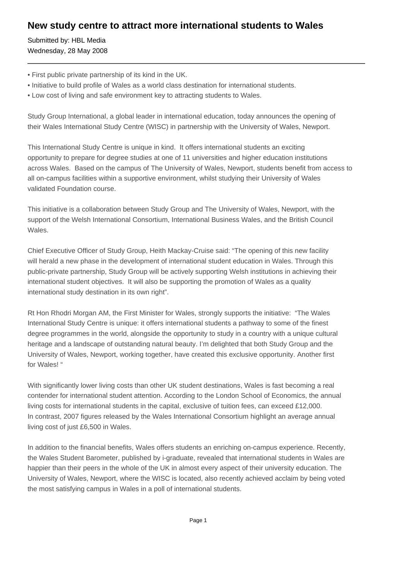# **New study centre to attract more international students to Wales**

Submitted by: HBL Media Wednesday, 28 May 2008

- First public private partnership of its kind in the UK.
- Initiative to build profile of Wales as a world class destination for international students.
- Low cost of living and safe environment key to attracting students to Wales.

Study Group International, a global leader in international education, today announces the opening of their Wales International Study Centre (WISC) in partnership with the University of Wales, Newport.

This International Study Centre is unique in kind. It offers international students an exciting opportunity to prepare for degree studies at one of 11 universities and higher education institutions across Wales. Based on the campus of The University of Wales, Newport, students benefit from access to all on-campus facilities within a supportive environment, whilst studying their University of Wales validated Foundation course.

This initiative is a collaboration between Study Group and The University of Wales, Newport, with the support of the Welsh International Consortium, International Business Wales, and the British Council Wales.

Chief Executive Officer of Study Group, Heith Mackay-Cruise said: "The opening of this new facility will herald a new phase in the development of international student education in Wales. Through this public-private partnership, Study Group will be actively supporting Welsh institutions in achieving their international student objectives. It will also be supporting the promotion of Wales as a quality international study destination in its own right".

Rt Hon Rhodri Morgan AM, the First Minister for Wales, strongly supports the initiative: "The Wales International Study Centre is unique: it offers international students a pathway to some of the finest degree programmes in the world, alongside the opportunity to study in a country with a unique cultural heritage and a landscape of outstanding natural beauty. I'm delighted that both Study Group and the University of Wales, Newport, working together, have created this exclusive opportunity. Another first for Wales! "

With significantly lower living costs than other UK student destinations, Wales is fast becoming a real contender for international student attention. According to the London School of Economics, the annual living costs for international students in the capital, exclusive of tuition fees, can exceed £12,000. In contrast, 2007 figures released by the Wales International Consortium highlight an average annual living cost of just £6,500 in Wales.

In addition to the financial benefits, Wales offers students an enriching on-campus experience. Recently, the Wales Student Barometer, published by i-graduate, revealed that international students in Wales are happier than their peers in the whole of the UK in almost every aspect of their university education. The University of Wales, Newport, where the WISC is located, also recently achieved acclaim by being voted the most satisfying campus in Wales in a poll of international students.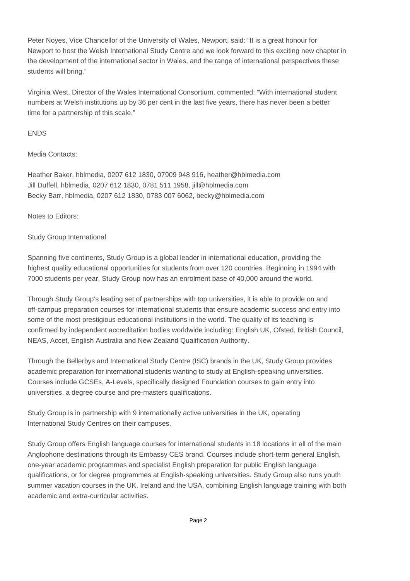Peter Noyes, Vice Chancellor of the University of Wales, Newport, said: "It is a great honour for Newport to host the Welsh International Study Centre and we look forward to this exciting new chapter in the development of the international sector in Wales, and the range of international perspectives these students will bring."

Virginia West, Director of the Wales International Consortium, commented: "With international student numbers at Welsh institutions up by 36 per cent in the last five years, there has never been a better time for a partnership of this scale."

### ENDS

#### Media Contacts:

Heather Baker, hblmedia, 0207 612 1830, 07909 948 916, heather@hblmedia.com Jill Duffell, hblmedia, 0207 612 1830, 0781 511 1958, jill@hblmedia.com Becky Barr, hblmedia, 0207 612 1830, 0783 007 6062, becky@hblmedia.com

Notes to Editors:

## Study Group International

Spanning five continents, Study Group is a global leader in international education, providing the highest quality educational opportunities for students from over 120 countries. Beginning in 1994 with 7000 students per year, Study Group now has an enrolment base of 40,000 around the world.

Through Study Group's leading set of partnerships with top universities, it is able to provide on and off-campus preparation courses for international students that ensure academic success and entry into some of the most prestigious educational institutions in the world. The quality of its teaching is confirmed by independent accreditation bodies worldwide including: English UK, Ofsted, British Council, NEAS, Accet, English Australia and New Zealand Qualification Authority.

Through the Bellerbys and International Study Centre (ISC) brands in the UK, Study Group provides academic preparation for international students wanting to study at English-speaking universities. Courses include GCSEs, A-Levels, specifically designed Foundation courses to gain entry into universities, a degree course and pre-masters qualifications.

Study Group is in partnership with 9 internationally active universities in the UK, operating International Study Centres on their campuses.

Study Group offers English language courses for international students in 18 locations in all of the main Anglophone destinations through its Embassy CES brand. Courses include short-term general English, one-year academic programmes and specialist English preparation for public English language qualifications, or for degree programmes at English-speaking universities. Study Group also runs youth summer vacation courses in the UK, Ireland and the USA, combining English language training with both academic and extra-curricular activities.